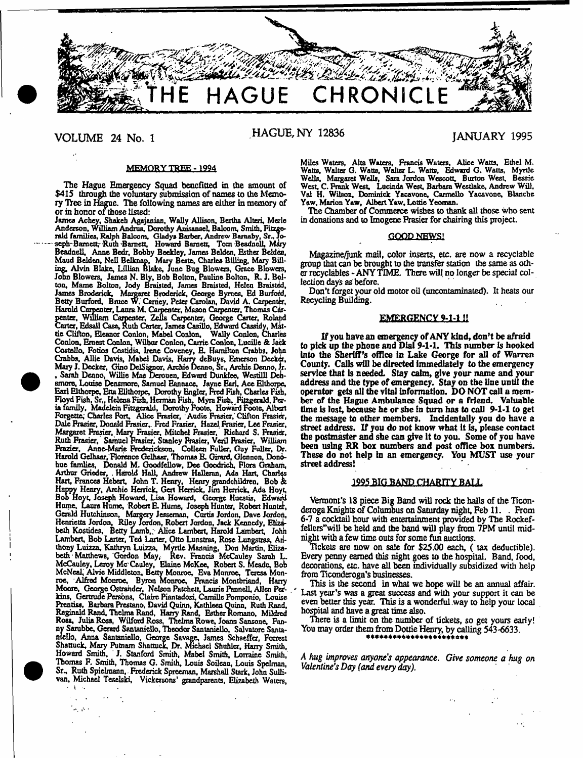

 $\Delta \sim 10$  $\mathcal{L}_{\text{max}}$ 

VOLUME 24 No. 1 HAGUE, NY 12836 JANUARY 1995

### MEMORY TREE-1994

The Hague Emergency Squad benefited in the amount of \$415 through the voluntary submission of names to the Memory Tree in Hague. The following names are either in memory of or in honor of those listed:

**James Achey, Shakeh Agajanian, Wally Allison, Bertha Alteri, Merle Andereon, W illiam Andrus, Dorothy Anisansel, Balcom, Smith, Fitzgerald fam ilies, Ralph Balcom, Gladys Barber, Andrew Barttaby, Sr., Jo**seph-Barnett, Ruth Barnett, Howard Barnett, Tom Beadnell, Mary Beadnell, Anne Bedr, Bobby Beekley, James Belden, Esther Belden, Maud Belden, Nell Belknap, Mary Beste, Charles Billing, Mary Bill**ing, A lvin Blake, Lillian Blake, June Bug Blowers, Grace Blowers,** John Blowers, James N. Bly, Bob Bolton, Pauline Bolton, R. J. Bol**ton, M ame Bolton, Jody Braisted, James Bm isled, Helen Braistid, James Broderick, Margaret Broderick, George Byrnes, Ed Burford, Betty Burford, Bruce W. Carney, Peter Carol&n, David A. Carpenter, Harold Carpenter, Laura M . Carpenter, Mason Carpenter, Thomas Carpenter, W illiam Carpenter, Zeua Carpenter, George Carter, Roland** Carte**r, Edsall Case, Ruth Carter, James Casillo, Edward Cassidy, Matlie Clifton, Eleanor Cbnlon, M abel Conlon, W ally Conlon, Charles Conlon, Ernest Conlon, Wilbur Conlon, Carrie Conlon, Lucille & Jack C ostello, Fotios Costidis, Irene Coveney,** EL **Hamilton Crabbs, John** Crabbs, Allie Davis, Mabel Davis, Harry deBuys, Emerson Decker,<br>Mary J. Decker, Gino DelSignor, Archie Denno, Sr., Archie Denno, Jr. , Sarah Denno, Willie Mae Derouen, Edward Dunklee, Westilll Dehsmore, Louise Densmore, Samuel Eannace, Jayne Earl, Ace Elthorpe, **Earl Elthorpe, Etta Ellthorpe, Dorothy Engler, Fred Fish, Charles Fish, Floyd Fish, Sr., Helena Fish, Herman Fish, Myra Fish, Fit**2**gerald, Pdria fam ily, Madelein Fitzgerald, Dorothy Foote, Howard Foote, Albert Foigette, Charles Fort, A lice Frasier, Audie Frasier, Clifton Frasier, D ale Frasier, Donald Frasier,. Fred Frasier, Hazel Frasier, Lee Frasier,** Margaret Frasier, Mary Frasier, Mitchel Frasier, Richard S. Frasier, **Ruth Frasier, Samuel Frasier. Stanley Frasier, Veril Frasier, William Frazier, Anne-Marie Fredericksos, Colleen Fuller, Guy Fuller, Dr. Harold Gelhaar, Florence Gdhaar, Thomas E. Girard, Glennon, Dono**hue famlies, Donald M. Goodfellow, Dee Goodrich, Flora Graham, **Arthur Grieder, . Harold Hall, Andrew Hallezan, Ada Hart, Charles Hart, Frances Hebert, John T. Henry, Henry grandchildren, Bob & Happy Henry, Archie Herrick, Gert Herrick, Jim Herrick, Ada Hoyt, Bob Hoyt, Joseph Howard, Lisa Howard, George Huestis, Edward Hume, Laura Hume, Robert E. Hume, Joseph Hunter, Robert Huntet, Gerald Hutchinson, Margery Jesseman, Curtis Jordon, Dave Jordon, Henrietta Jordon, R iley Jordon, Robert Jordon, Jack Kennedy, Elizabeth K ostides, Betty Lamb,; A lice Lambert, Harold Lambert, Johk** Lambert, Bob Larter, Ted Larter, Otto Lunstras, Rose Lungstras, Arl**thony Luizza, Kathryn Luizza, M yrtle Manning, Don Martin, Eliza**beth Matthews, Gordon May, Rev. Francis McCauley Sarah L. **M cCauley, Leroy M e Cauley, Elaine M cKee, Robert S. Meade, Bob McNeaLj A lvie M iddleton, Betty Monroe, Eva Monroe, Teresa Monroe, Alfred Monroe, Byron Monroe, Francis Montbriand, Harry** Moore, George Ostrander, Nelson Patchett, Laurie Pannell, Allen Per**kins, Gertrude Persons, Claire Piantadosi, Camille Pomponio, Louise Freutiss, Barbara Prestano, David Quinn, Kathleen Quinn, Ruth Rand, Reginald Rand, Thelma Rand, Harry Rand, Esther Romano, Mildred Rosa, Julia Ross, W ilford Ross, Thelma Rowe, Joann Sansone, Fanny Sarubbe, Gerard Santaniello, Theodor Santaniello, Salvatore Santam ello, Anna Santaniello, George Savage, James Schaeffer, Forrest Shattuck, Mary Putnam Shattuck, Dr. M ichael Shohler, Harry Smith, Howard Smith, J. Stanford Smith, Mabel Smith, Lorraine Smith, Thomas F. Smith, Thomas G. Smith, Louis Soileau, Louis Spelman,** Sr., Ruth Spielmann, Frederick Spreeman, Marshall Stark, John Sulli**van, M ichael Tesdsiri, Vickersons' grandparents, Elizabeth Waters,** **M iles Waters, Alta Waters, Francis Waters, A lice Watts, Ethel M.** Watts, Walter G. Watts, Walter L. Watts, Edward G. Watts, Myrtle **W ells, Margaret W ells, Sara Jordon W escott. Burton West, B essie W est, C. Frank W est, Lucinda W est, Barbara W estlake, Andrew W ill, Val H. W ilson, Dominick Yacavone, Carmello Yacavone, Blanche Yaw, Marion Yaw, Albert Yaw, Lottie Yeoman.**

The Chamber of Commerce wishes to thank all those who sent in donations and to Imogene Frasier for chairing this project.

#### **GOOD NEWS!**

Magazme/junk mail, color inserts, etc. are now a recyclable group that can be brought to the transfer station the same as other recyclables - ANY TIME. There will no longer be special collection days as before.

Don't forget your old motor oil (uncontaminated). It heats our Recycling Building.

#### EMERGENCY 9-1-1 !!

If you have an emergency of ANY kind, don't be afraid to pick up the phone and Dial 9-1-1. This number is hooked Into the Sheriff's office In Lake George for all of Warren County. Calls will be directed immediately to the emergency service that Is needed. Stay calm, give your name and your address and the type of emergency. Stay on the Une until the operator gets all the vital information. DO NOT call a member of the Hague Ambulance Squad or a friend. Valuable time is lost, because he or she In turn has to call 9-1-1 to get the message to other members. Incidentally you do have a street address. If you do not know what It is, please contact the postmaster and she can give It to you. Some of you have been using RR box numbers and post office box numbers. These do not help In an emergency. You MUST use your street address!

#### 1995 BIG BAND CHARITY BALL

Vermont's 18 piece Big Band will rock the halls of the Ticonderoga Knights of Columbus on Saturday night, Feb 11. . From 6-7 a cocktail hour with entertainment provided by The RockeffeUers"wiU be held and the band will play from 7PM until midnight with a few time outs for some fun auctions.

Tickets are now on sale for \$25.00 each, ( tax deductible). Every penny earned this night goes to the hospital. Band, food, decorations, etc. have all been individually subsidized with help from Ticonderoga's businesses.

This is the second in what we hope will be an annual affair. Last year's was a great success and with your support it can be even better this year. This is a wonderful .way to help your local hospital and have a great time also.

There is a limit on the number of tickets, so get yours early! You may order them from Dottie Henry, by calling 543-6633.

*A hug improves anyone's appearance***.** *Give someone a hug onValentine's Day (and every day).*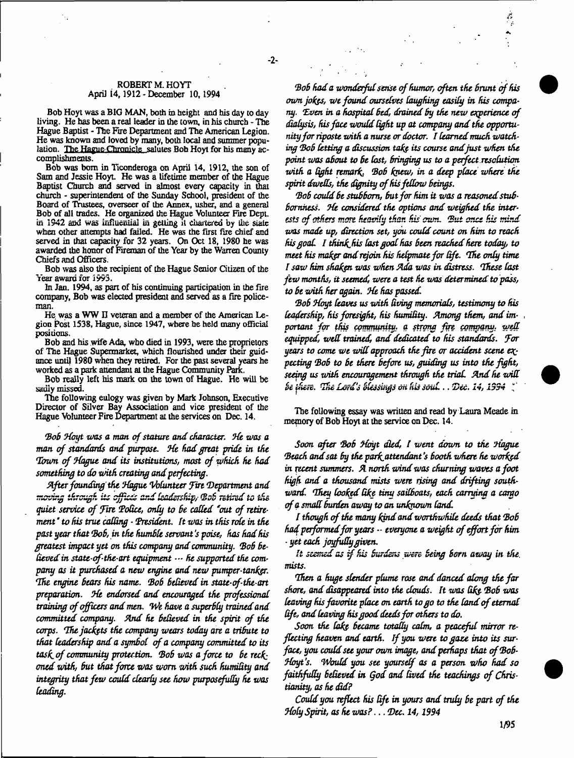#### . ROBERT M. HOYT April 14,1912 - December 10,1994

Bob Hoyt was a BIG MAN, both in height and bis day to day living. He has been a real leader in the town, in his church - The Hague Baptist - The Fire Department and The American Legion. He was known and loved by many, both local and summer population. The Hague. Chronicle salutes Bob Hoyt for his many accomplishments.

Bob was bom in Ticonderoga on April 14, 1912, the son of Sam and Jessie Hoyt. He was a lifetime member of the Hague Baptist Church and served in almost every capacity in that church - superintendent of the Sunday School, president of the Board of Trustees, overseer of the Annex, usher, and a general Bob of all trades. He organized the Hague Volunteer Fire Dept, in 1942 and was influential in getting it chartered by the siate when other attempts had failed. He was the first fire chief and served in that capacity for 32 years. On Oct 18, 1980 he was awarded the honor of Fireman of the Year by the Warren County Chiefs and Officers.

Bob was also the recipient of the Hague Senior Citizen of the Year award for 1993,

In Jan. 1994, as part of his continuing participation in the fire company, Bob was elected president and served as a fire policeman.

He was a WW D veteran and a member of the American Legion Post 1538, Hague, since 1947, where be held many official positions.

Bob and his wife Ada, who died in 1993, were the proprietors of The Hague Supermarket, which flourished under their guidance until 1980 when they retired. For the past several years he worked as a park attendant at the Hague Community Park.

Bob really left his mark on the town of Hague. He will be sadly missed.

The following eulogy was given by Mark Johnson, Executive Director of Silver Bay Association and vice president of the Hague Volunteer Fire Department at the services on Dec. 14.

Bob Hoyt was a man of stature and character. He was a man of standards and purpose. He had great pride in the *Town of Hague and its institutions, most of which he had something to do with creating and perfecting.*

*A fter founding the 9ktgue Volunteer fire 'Department and moving through its offices and leadership,- <So\$ retired to the* quiet service of Fire Police, only to be called "out of retire*ment* **\*** *to his true calling - President, ft was in this role in the past year that Bob, in the humble servant '\$ poise, has had his greatest impact yet on this company and community. Bob Believed in state-of-the-art equipment — he supported the company as it purchased a new engine and new pumper-tanhgr. The engine Bears his name***.** *Bob Believed in state-of-the-art* preparation. He endorsed and encouraged the professional *training of officers and men. We have a superbly trained and* committed company. And he believed in the spirit of the *corps. THejackpts the company wears today are a tribute to* that leadership and a symbol of a company committed to its task of community protection. Bob was a force to be reck*cncd with, But that force was worn with such humility and integrity that few could clearly see haw purposefully he was (fading*

Bob had a wonderful sense of humor, often the brunt of his *own jofys, we found ourselves laughing easily in his company.* Even in a hospital bed, drained by the new experience of *dialysis, his face would tight up at company and the opportu*nity for riposte with a nurse or doctor. I learned much watching Bob letting a discussion take its course and just when the *point was about to be lost, Bringing us to a perfect resolution with a tight remark. \*806 knew, in a deep place where tire spirit dwells, the dignity o f his fellow beings.*

 $\ddot{\phantom{a}}$ 

Bob could be stubborn, but for him it was a reasoned stub*bornness. 9fe considered the options and weighed the inter*ests of others more heavily than his own. 'But once his mind *was made up, direction set, you could count on him to reach his goal I thinkhis last goal has Been reached here today, to meet his makgr and rejoin his helpmate for life. 'The only time I saw him shakpt was when Add was in distress. 'These last few months, it seemed were a test he was determined to pass, to Be with her again. 9k has passed*

*Bob 9kyt (eaves us with living memorials, testimony to his leadership, his foresight, his humility. Among them, and im*portant for this community, a strong fire company, well equipped, well trained, and dedicated to his standards. For *years to come we will approach the fire or accident scene expecting (Bob to Be there Before us, guiding us into the fight, seeing us with encouragement through the trial. And he will <sup>C</sup>* - ■ *<sup>C</sup> rrf.* . *<sup>r</sup> ft. £ . f . ... f.:. f* / n . . *. .* \*«/; . *of. ftiSfc.* -x /u *usntk* j *tncjsingj tm* ru r *sum.* . . *\ucc. i f , U V H* ,

The following essay was written and read by Laura Meade in memory of Bob Hoyt at the service on Dec. 14.

*Soon after Bob 9(oyt died I went down to the 'Hague* Beach and sat by the park attendant's booth where he worked *in recent summers. A north wind was churning waves a foot high and a thousand mists were rising and drifting southward. 'They Cooked tike tiny sailboats, each carrying a cargo o f q smad burden away to an unknown land*

*I though o f the many kind and worthwhile deeds that 'Bob had performed for years - everyone a weight of effort for him -yet each joyfully given.*

*It seemed as if fus Burdens were Bevrg Bom away in the. mists.*

*'Then a huge slender plume rose and danced along the far short, and disappeared into the elands. It was tikp (Bob was* leaving his favorite place on earth to go to the land of eternal *lift, and leaving his good deeds for others to do.*

*Soon the lake Became totally calm, a peaceful mirror reflecting heaven and earth. If you were to gaze into its surface, you could see your own image, and perhaps that of Bob Hoyt's. 'Would you see yourself as a person who had so* faithfully believed in God and lived the teachings of Chris*tianity, as he (tid?*

*Could you reflect his lift in yours and truly Be part o f the 9(oly Spirit, as he was***? ...** *'Dec. 14,1994*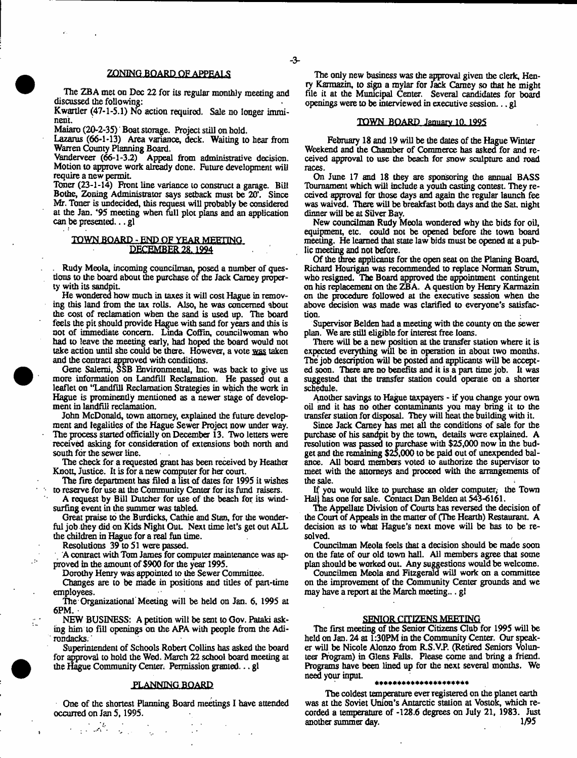# ZONING BOARD OF APPEALS

The ZBA met on Dec 22 for its regular monthly meeting and discussed the following:

Kwartler (47-1-5.1) No action required. Sale no longer imminent.

Maiaro (20-2-35)' Boat storage. Project still on hold.

Lazarus (66-1-13) Area variance, deck. Waiting to hear from Warren County Planning Board.

Vanderveer (66-1-3.2) Appeal from administrative decision. Motion to approve work already done. Future development will require a new permit.

Toner (23-1-14) Front line variance to construct a garage. Bill Bothe, Zoning Administrator says setback must be 20'. Since Mr. Toner is undecided, this request will probably be considered at the Jan. \*95 meeting when frill plot plans and an application can be presented... gl

#### TOWN BOARD - END OF YEAR MEETING DECEMBER 28.1994

. Rudy Meola, incoming councilman, posed a number of questions to the board about the purchase of the Jack Carney property with its sandpit

He wondered how much in taxes it will cost Hague in removing this land from the tax rolls. Also, he was concerned about the cost of reclamation when the sand is used up. The board feels the pit should provide Hague with sand for years and this is not of immediate concern. Linda Coffin, councilwoman who had to leave the meeting early, had hoped the board would not take action until she could be there. However, a vote was taken and the contract approved with conditions.

Gene Salerni, SSB Environmental, Inc. was back to give us more information on Landfill Reclamation. He passed out a leaflet on "Landfill Reclamation Strategies in which the work in Hague is prominently mentioned as a newer stage of development in landfill reclamation.

John McDonald, town attorney, explained the future development and legalities of the Hague Sewer Project now under way. The process started officially on December 13. TWo letters were received asking for consideration of extensions both north and south for the sewer line.

The check for a requested grant has been received by Heather Knott, Justice. It is for a new computer for her court.

The fire department has filed a list of dates for 1995 it wishes to reserve for use at the Community Center for its fund raisers.

A request by Bill Dutcher for use of the beach for its windsurfing event in the summer was tabled.

Great praise to the Burdicks, Cathie and Stan, for the wonderful job they did on Kids Night Oul Next time let's get out ALL the children in Hague for a real fun time.

Resolutions 39 to 51 were passed.

A contract with Tom James for computer maintenance was approved in the amount of \$900 for the year 1995.

Dorothy Henry was appointed to the Sewer Committee.

Changes are to be made in positions and titles of part-time employees.

The Organizational Meeting will be held on Jan. 6, 1995 at 6PM.

NEW BUSINESS: A petition wilt be sent to Gov. Paiaki asking him to fill openings on the APA with people from the Adirondacks.

Superintendent of Schools Robert Collins has asked the board for approval to hold the Wed. March 22 school board meeting at the Hague Community Center; Permission granted... gl

#### PLANNING BOARD

One of the shortest Planning Board meetings 1 have attended occurred on Jan 5, 1995.

The only new business was the approval given the clerk, Henry Karmazin, to sign a mylar for Jack Camey so that he might file it at the Municipal Center. Several candidates for board openings were to be interviewed in executive session... gl

#### TOWN BOARD January 10. 1995

February 18 and 19 will be the dates of the Hague Winter Weekend and the Chamber of Commerce has asked for and received approval to use the beach for snow sculpture and road races.

On June 17 and 18 they are sponsoring the annual BASS Tburnament which will include a youth casting contest. They received approval for those days and again the regular launch fee was waived. There will be breakfast both days and the Sat night dinner will be at Silver Bay.

New councilman Rudy Meola wondered why the bids for oil, equipment, etc. could not be opened before the town board meeting. He learned that state law bids must be opened at a public meeting and not before.

Of the three applicants for the open seat on the Planing Board, Richard Hourigan was recommended to replace Norman Strum, who resigned. The Board approved the appointment contingent on his replacement on the ZBA. A question by Henry Karmazin on the procedure followed at the executive session when the above decision was made was clarified to everyone's satisfaction.

Supervisor Belden had a meeting with the county on the sewer plan. We are still eligible for interest free loans.

There will be a new position at the transfer station where it is expected everything will be in operation in about two months. The job description wtil be posted and applicants will be accepted soon. There are no benefits and it is a part time job. It was suggested that the transfer station could operate on a shorter schedule.

Another savings to Hague taxpayers - if you change your own oil and it has no other contaminants you may bring it to the transfer station for disposal. They will heat the building with it.

Since Jack Carney has met all the conditions of sale for the purchase of his sandpit by the town, details were explained. A resolution was passed to purchase with \$25,000 now in the budget and the remaining \$25,000 to be paid out of unexpended balance. AU board members voted to authorize the supervisor to meet with the attorneys and proceed with the arrangements of the sale.

If you would like to purchase an older computer, the Town Hal} has one for sale. Contact Dan Belden at 543-6161.

The Appellate Division of Courts has reversed the decision of the Court of Appeals in the matter of (The Hearth) Restaurant. A decision as to what Hague's next move will be has to be resolved.

Councilman Meola feels that a decision should be made soon on the fate of our old town hall. All members agree that some plan should be worked out. Any suggestions would be welcome.

Councilmen Meola and Fitzgerald will work on a committee on the improvement of the Community Center grounds and we may have a report at the March meeting... gl

#### **SENIOR CITIZENS MEETING**

The first meeting of the Senior Citizens Club for 1995 will be held on Jan. 24 at 1:30PM in the Community Center. Our speaker will be Nicole Alonzo from R.S.V.P. (Retired Seniors Volunteer Program) in Glens Falls. Please come and bring a friend. Programs have been lined up for the next several months. We need your input.

#### \*\*\*\*\*\*\*\*\*\*\*\*\*\*\*\*\*\*\*\*\*

The coldest temperature ever registered on the planet earth was at the Soviet Union's Antarctic station at Vostok, which recorded a temperature of -128.6 degrees on July 21, 1983. Just another summer day.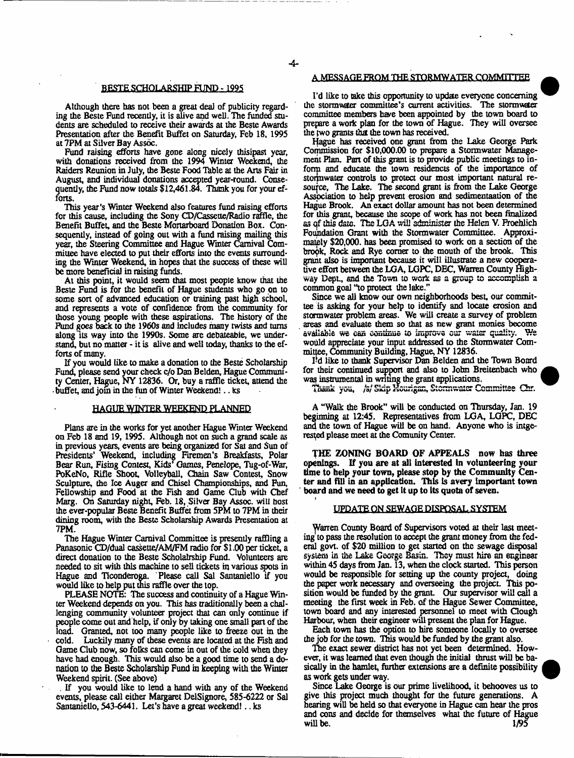#### BESTE SCHOLARSHIP FUND. 1995

Although there has not been a great deal of publicity regarding the Beste Fund recently, it is alive and well. The funded students are scheduled to receive their awards at the Beste Awards Presentation after the Benefit Buffet on Saturday, Feb 18, 1995 at 7PM at Silver Bay Assoc.

Fund raising efforts have gone along nicely thisipast year, with donations received from the 1994 Winter Weekend, the Raiders Reunion in July, the Beste Food Thble at the Arts Fair in August, and individual donations accepted year-round. Consequently, the Fund now totals \$12,461.84. Thank you for your efforts.

This year's Winter Weekend also features fund raising efforts for this cause, including the Sony CD/Cassette/Radio raffle, the Benefit Buffet, and the Beste Mortarboard Donation Box. Consequently, instead of going out with a fund raising mailing this year, the Steering Committee and Hague Winter Carnival Committee have elected to put their efforts into the events surrounding the Winter Weekend, in hopes that the success of these will be more beneficial in raising funds.

At this point, it would seem that most people know that the Beste Fund is for the benefit of Hague students who go on to some sort of advanced education or training past high school, and represents a vote of confidence from the community for those young people with these aspirations. The history of the Fund goes back to the 1960s and includes many twists and turns along Its way into the 1990s. Some are debateabie, we understand, but no matter - it is alive and well today, thanks to the efforts of many.

If you would like to make a donation to the Beste Scholarship Fund, please send your check c/o Dan Belden, Hague Community Center, Hague, NY 12836. Or, buy a raffle ticket, attend the • buffet, and jom in the fun of Winter Weekend!.. ks

#### HAGUE WINTER WEEKEND PLANNED

Plans are in the works for yet another Hague Winter Weekend on Feb 18 and 19, 1995. Although not on such a grand scale as in previous years, events are being organized for Sat and Sun of Presidents' Weekend, including Firemen's Breakfasts, Polar Bear Run, Fising Contest, Kids' Games, Penelope, Tug-of-War, PoKeNo, Rifle Shoot, Volleyball, Chain Saw Contest, Snow Sculpture, the Ice Auger and Chisel Championships, and Fun, Fellowship and Food at the Fish and Game Club with Chef Marg. On Saturday night, Feb. 18, Silver Bay Assoc, will host the ever-popular Beste Benefit Buffet from 5PM to 7PM in their dining room, with the Beste Scholarship Awards Presentation at 7PM.

The Hague Winter Carnival Committee is presently raffling a Panasonic CD/dual cassette/AM/FM radio for \$1.00 per ticket, a direct donation to the Beste Scholalrship Fund. Volunteers are needed to sit with this machine to sell tickets in various spots in Hague and Ticonderoga. Please call Sal Santaniello if you would like to help put this raffle over the top.

PLEASE NOTE: The success and continuity of a Hague Winter Weekend depends on you. This has traditionally been a challenging community volunteer project that can only continue if people come out and help, if only by taking one small part of the load. Granted, not too many people like to freeze out in the cold. Luckily many of these events are located at the Fish and Game Club now, so folks can come in out of the cold when they have had enough. This would also be a good time to send a donation to the Beste Scholarship Fund in keeping with the Winter Weekend spirit. (See above)

. If you would like to lend a hand with any of the Weekend events, please call either Margaret DelSignore, 585-6222 or Sal Santaniello, 543-6441. Let's have a great weekend!.. ks

# A MESSAGE FROM THE STORMWATER COMMITTEE

I'd like to take this opportunity to update everyone concerning the storm water committee's current activities. The storm water committee members have been appointed by the town board to prepare a work plan for the town of Hague. They will oversee the two grants that the town has received.

Hague has received one grant from the Lake George Park Commission for \$10,000.00 to prepare a Storm water Management Plan. Part of this grant is to provide public meetings to infonp and educate the town residencts of the importance of stormwater controls to protect our most important natural resource, The Lake. The second grant is from the Lake George Association to help prevent erosion and sedimentaation of the Hague Brook. An exact dollar amount has not been determined for this grant, because the scope of work has not been finalized as of this date. The LCA will administer the Helen V. Froehlich Foundation Grant with the Stormwater Committee. Approximately \$20,000. has been promised to work on a section of the brook, Rock and Rye corner to the mouth of the brook. This grant also is important because it will illustrate a new cooperative effort between the LGA, LGPC, DEC, Warren County Highway DepL, and the Town to work as a group to accomplish a common goal "to protect the lake."

Since we all know our own neighborhoods best, our committee is asking for your help to identify and locate erosion and stormwater problem areas. We will create a survey of problem areas and evaluate them so that as new grant monies become available we can continue to improve our water quality. We available we can continue to improve our water quality. would appreciate your input addressed to the Stormwater Committee, Community Building, Hague, NY 12836.

Fd like to thank Supervisor Dan Belden and the Tbwn Board for their continued support and also to John Breitenbach who was instrumental in writing the grant applications.

Thank you, /s/ Skip Uourigan, Stcrmwatsr Committee Chr.

A "Walk the Brook" will be conducted on Thursday, Jan. 19 beginning at 12:45. Representatives from LGA, LGPC, DEC and the town of Hague will be on hand. Anyone who is intgerested please meet at the Comunity Center.

THE ZONING BOARD OF APPEALS now has three openings. If you are at all interested in volunteering your time to help your town, please stop by the Community Center and fill in an application. This is avery important town board and we need to get It up to Its quota of seven. **t**

#### UPDATE ON SEWAGE DISPOSAL SYSTEM

^Varren County Board of Supervisors voted at their last meeting to pass the resolution to accept the grant money from the federal govt, of \$20 million to get started on the sewage disposal system In the Lake George Basin. They must hire an engineer within 45 days from Jan. 13, when the clock started. This person would be responsible for setting up the county project, doing the paper work necessary and overseeing the project. This position would be funded by the grant. Our supervisor will call a meeting the first week in Feb, of the Hague Sewer Committee, town board and any interested personnel to meet with Clough Harbour, when their engineer will present the plan for Hague.

Each town has the option to hire someone locally to oversee the job for the town. This would be funded by the grant also.

The exact sewer district has not yet been determined. However, it was learned that even though the initial thrust will be basically in the hamlet, further extensions are a definite possibility as work gets under way.

Since Lake George is our prime livelihood, it behooves us to give this project much thought for the future generations. A hearing will be held so that everyone in Hague can hear the pros and cons and decide for themselves what the future of Hague will be. 1/95 will be.  $1/95$ 

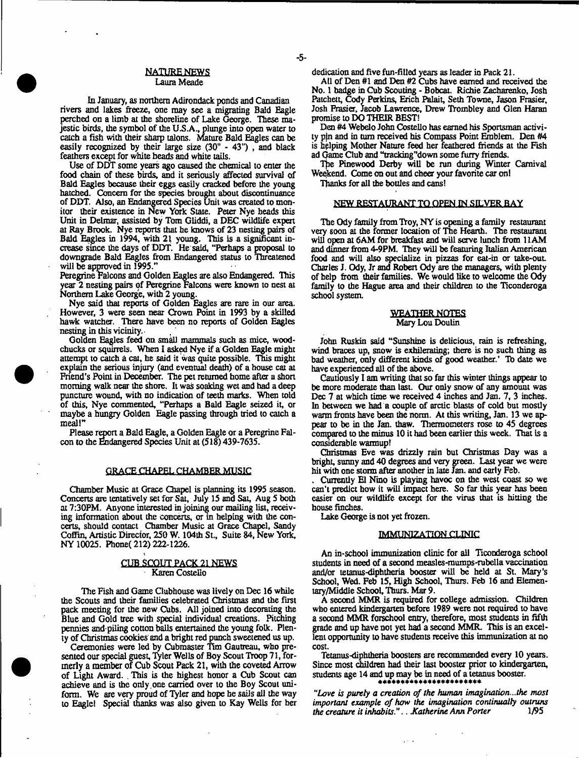#### NATURE NEWS Laura Meade

In January, as northern Adirondack ponds and Canadian rivers and lakes freeze, one may see a migrating Bald Eagle perched on a limb at the shoreline of Lake George. These majestic birds, the symbol of the U.S.A., plunge into open water to catch a fish with their sharp talons. Mature Bald Eagles can be easily recognized by their large size (30" - 43") , and black feathers except for white beads and white tails.

Use of DDT some years ago caused the chemical to enter the food chain of these birds, and it seriously affected survival of Bald Eagles because their eggs easily cracked before the young hatched. Concern for the species brought about discontinuance of DDT. Also, an Endangered Species Unit was created to monitor their existence in New York State. Peter Nye beads this Unit in Delmar, assisted by Tom Gliddi, a DEC wildlife expert at Ray Brook. Nye reports that he knows of 23 nesting pairs of Bald Eagles in 1994, with 21 young. This is a significant increase since the days of DDT. He said, "Perhaps a proposal to downgrade Bald Eagles from Endangered status to Threatened will be approved in 1995."

Peregrine Falcons and Golden Eagles are also Endangered. This year 2 nesting pairs of Peregrine Falcons were known to nest at Northern Lake George, with 2 young.

Nye said that reports of Golden Eagles are rare in our area. However, 3 were seen near Crown Point in 1993 by a skilled hawk watcher. There have been no reports of Golden Eagles nesting in this vicinity.'

Golden Eagles feed on small mammals such as mice, woodchucks or squirrels. When I asked Nye if a Golden Eagle might attempt to catch a cat, be said it was quite possible. This might explain the serious injury (and eventual death) of a house cat at Friend's Point in December. The pet returned home after a short morning walk near the shore. It was soaking wet and had a deep puncture wound, with no indication of teeth marks. When told of this, Nye commented, "Perhaps a Bald Eagle seized it, or maybe a hungry Golden Eagle passing through tried to catch a meal!"

Please report a Bald Eagle, a Golden Eagle or a Peregrine Falcon to the Endangered Species Unit at (518) 439-7635.

#### GRACE CHAPEL CHAMBER MUSIC

Chamber Music at Grace Chapel is planning its 1995 season. Concerts are tentatively set for Sat, July 15 and Sat, Aug 5 both at 7:30PM. Anyone interested in joining our mailing list, receiving information about the concerts, or in helping with the concerts, should contact Chamber Music at Grace Chapel, Sandy Coffin, Artistic Director, 250 W. 104th St., Suite 84, New York, NY 10025. Phone( 212) 222-1226,

#### CUB SCOUT PACK 21 NEWS Karen Costello

The Fish and Game Clubhouse was lively on Dec 16 while the Scouts and their families celebrated Christmas and the first pack meeting for the new Cubs. All joined into decorating the Blue and Gold tree with special individual creations. Pitching pennies and-piling cotton balls entertained the young folk. Plenty of Christmas cookies and a bright red punch sweetened us up.

Ceremonies were led by Cubmaster Tim Gautreau, who presented our special guest, Tyier Wells of Boy Scout Troop 71, formerly a member of Cub Scout Pack 21, with the coveted Arrow of Light Award. . This is the highest honor a Cub Scout can achieve and is the only one carried over to the Boy Scout uniform. We are very proud of Tyler and hope he sails all the way to Eagle! Special thanks was also given to Kay Wells for her dedication and five fun-filled years as leader in Pack 21.

All of Den #1 and Den #2 Cubs have earned and received the No. 1 badge in Cub Scouting - Bobcat. Richie Zacharenko, Josh Patchett, Cody Perkins, Erich Palait, Seth Towne, Jason Frasier, Josh Frasier, Jacob Lawrence, Drew Trombley and Glen Haran promise to DO THEIR BEST!

Den #4 Webelo John Costello has earned his Sportsman activity pjn and in turn received his Compass Point Emblem. Den #4 is helping Mother Nature feed her feathered friends at the Fish ad Game Club and "tracking''down some furry friends.

The Pinewood Derby will be run during Winter Carnival Weekend. Come on out and cheer your favorite car on! Thanks for all the bottles and cans!

#### NEW RESTAURANT TQ OPEN IN SILVER BAY

The Ody family from Troy, NY is opening a family restaurant very soon at the former location of The Heanh. The restaurant will open at 6AM for breakfast and will serve lunch from 11AM and dinner from 4-9PM. They will be featuring Italian American food and will also specialize in pizzas for eat-in or take-out. Charles J. Ody, Jr and Robert Ody are the managers, with plenty of help from their families. We would like to welcome the Ody family to the Hague area and their children to the Ticonderoga school system.

#### WEATHER NOTES Mary Lou Doulin

John Ruskin said "Sunshine is delicious, rain is refreshing, wind braces up, snow is exhilerating; there is no such thing as bad weather, only different kinds of good weather.' To date we have experienced all of the above.

Cautiously I am writing that so far this winter things appear to be more moderate than last. Our only snow of any amount was Dec 7 at which time we received 4 inches and Jan. 7, 3 inches. In between we had a couple of arctic blasts of cold but mostly warm fronts have been the norm. At this writing, Jan. 13 we appear to be in the Jan. thaw. Thermometers rose to 45 degrees compared to the minus 10 it had been earlier this week. That is a considerable warmup!

Christinas Eve was drizzly rain but Christmas Day was a bright, sunny and 40 degrees and very green. Last year we were hit with one storm after another in late Jan. and early Feb.

. Currently El Nino is playing havoc on the west coast so we can't predict how it will impact here. So far this year has been easier on our wildlife except for the virus that is hitting the house finches.

Lake George is not yet frozen.

#### IMMUNIZATION CLINIC

An in-school immunization clinic for all Ticonderoga school students in need of a second measles-mumps-rubella vaccination and/or tetanus-diphtheria booster will be held at St. Mary's School, Wed. Feb 15, High School, Thurs. Feb 16 and Elementary/Middle School, Thurs. Mar 9.

A second MMR is required for college admission. Children who entered kindergarten before 1989 were not required to have a second MMR forschool entry, therefore, most students in fifth grade and up have not yet had a second MMR. This is an excellent opportunity to have students receive this immunization at no cost.

Tetanus -diphtheria boosters are recommended every 10 years. Since most children had their last booster prior to kindergarten, students age 14 and up may be in need of a tetanus booster.

*"Love is purely a creation of the human imagination...the most important example of how the imagination continually outruns the creature it inhabits."... Katherine Ann Porter*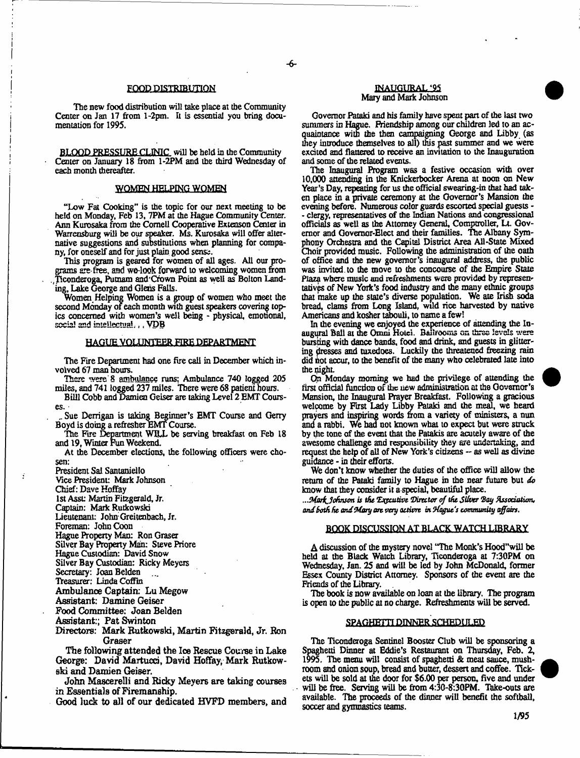#### FOOD DISTRIBUTION INAUGURAL '95

The new food distribution will take place at the Community Center on Jan 17 from l-2pm. It is essential you bring documentation for 1995.

BLOOD PRESSURE CLINIC will be held in the Community Center on January 18 from 1-2PM and the third Wednesday of each month thereafter.

#### WOMEN HELPING WOMEN

"Low Fat Cooking" is the topic for our next meeting to be held on Monday, Feb 13, 7PM at the Hague Community Center. Ann Kurosaka from the Cornell Cooperative Extenson Center in Warrensburg will be our speaker. Ms. Kurosaka will offer alternative suggestions and substitutions when planning for company, for oneself and for just plain good sense.

This program is geared for women of all ages. All our programs are-free, and wo-look forward to welcoming women from /Hconderoga, Putnam and Crown Point as well as Bolton Landing, Lake George and Glens Falls.

Women Helping Women is a group of women who meet the second Monday of each month with guest speakers covering topics concerned with women's well being - physical, emotional, social and intellectual. . , VDB

#### HAGUE VOLUNTEER FIRE DEPARTMENT

The Fire Department had one fire call in December which involved 67 man hours.

There were 8 ambulance runs: Ambulance 740 logged 205 miles, and 741 logged 237 miles. There were 68 patient hours.

Billl Cobb and Damien Geiser are taking Level 2 EMT Courses.

Sue Derrigan is taking Beginner's EMT Course and Gerry Boyd is doing a refresher EMT Course.

The Fire Department WILL be serving breakfast on Feb 18 and 19, Winter Fun Weekend.

At the December elections, the following officers were chosen:

President Sal Santaniello

Vice President: Mark Johnson

Chief: Dave Hoffay

1st Asst: Martin Fitzgerald, Jr.

Captain: Mark Rutkowski

Lieutenant: John Greitenhach, Jr.

Foreman: John Coon

Hague Property Man: Ron Graser Silver Bay Property Man: Steve Priore

Hague Custodian: David Snow

Silver Bay Custodian: Ricky Meyers

Secretary: Joan Belden ...

Treasurer: Linda Coffin

Ambulance Captain: LuMegow

Assistant: Damine Geiser

Food Committee: Joan Belden

Assistant:; Pat Swinton

Directors: Mark Rutkowski, Martin Fitzgerald, Jr. Ron Graser

The following attended the Ice Rescue Course in Lake George: David Martucci, David Hoffay, Mark Rutkowski and Damien Geiser.

John Mascerelli and Ricky Meyers are taking courses in Essentials of Firemanehip.

Good luck to all of our dedicated HVFD members, and

سيم

# Mary and Mark Johnson

Governor Pataki and his family have spent part of the last two summers in Hague. Friendship among our children led to an acquaintance with die then campaigning George and Libby (as they introduce themselves to all) this past summer and we were excited and flattered to receive an invitation to the Inauguration and some of die related events.

The Inaugural Program was a festive occasion with over 10,000 attending in the Knickerbocker Arena at noon on New Year's Day, repeating for us the official swearing-in that had taken place in a private ceremony at the Governor's Mansion the evening before. Numerous color guards escorted special guests - - clergy, representatives of the Indian Nations and congressional officials as well as the Attorney General, Comptroller, Lt. Governor and Governor-Elect and their families. The Albany Symphony Orchestra and the Capital District Area AU-State Mixed Choir provided music. Following the administration of the oath of office and the new governor's inaugural address, the public was invited, to the move to the concourse of the Empire State *Plaza* where music and refreshments were provided by representatives of New York's food industry and the many ethnic groups that make up the state's diverse population. We ate Irish soda bread, clams from Long Island, wild rice harvested by native Americans and kosher tabouli, to name a few!

In the evening we enjoyed the experience of attending the Inaugural Bali at the Omni Hotel. Ballrooms on three levels were bursting with dance bands, food and drink, and guests in glittering dresses and tuxedoes. Luckily the threatened freezing rain did not accur, to the benefit of the many who celebrated late into the night

On Monday morning we had the privilege of attending the first official function of the new administration at the Governor's Mansion, the Inaugural Prayer Breakfast. Following a gracious welcome by First Lady Libby Pataki and the meal, we heard prayers and inspiring words from a variety of ministers, a nun and a rabbi. We had not known what to expect but were struck by the tone of the event that the Patakis are acutely aware of the awesome challenge and responsibility they are undertaking, and request the help of all of New York's citizens — *as* well as divine guidance - in their efforts.

We don't know whether the duties of the office will allow the return of the Pataki family to Hague in the near future but *do* know that they consider it a special, beautiful place.

*is the Director of tfit Sikxr 'Boy Sissodntimu and froth fk and 9dory are very attivre in Hague's community affairs.*

#### BOOK DISCUSSION AT BLACK WATCH LIBRARY

A discussion of the mystery novel "The Monk's Hood"will be held at the Black Watch Library, Ticondexoga at 7:30PM on Wednesday, Jan. 25 and will be led by John McDonald, former Essex County District Attorney. Sponsors of the event are the Friends of the Library.

The book is now available on loan at the library, The program is open to the public at no charge. Refreshments will be served.

# SPAGHETTI DINNER SCHEDULED

The Ticonderoga Sentinel Booster Club will be sponsoring a Spaghetti Dinner at Eddie's Restaurant on Thursday, Feb. 2, 1995, The menu will consist of spaghetti & meat sauce, mushroom and onion soup, bread and butter, dessert and coffee. Tickets will be sold at the door for \$6.00 per person, five and under will be free. Serving will be from 4:30-8:30PM. Take-outs are available. The proceeds of the dinner will benefit the softball, soccer and gymnastics teams.

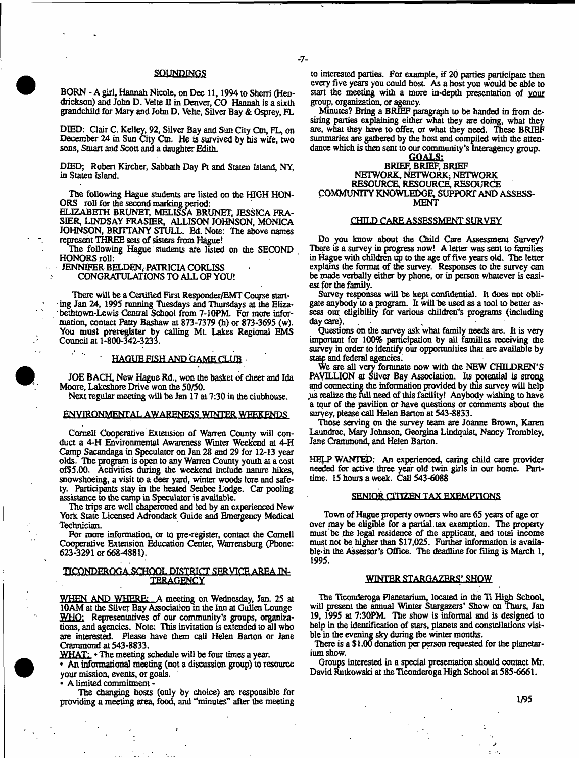#### SOUNDINGS

BORN - A girl, Hannah Nicole, on Dec 11,1994 to Sheni (Hendrickson) and John D. Velte H in Denver, CO **Hannah** is a sixth grandchild for Mary and John D. Velte, Silver Bay & Osprey, FL

DIED: Clair C. Kelley, 92, Silver Bay and Sun City Cm, FL, on December 24 in Sun City Ctn. He is survived by his wife, two sons, Stuart and Scott and a daughter Edith.

DIED; Robert Kircher, Sabbath Day Pt and Staten Island, NY, in Staten Island.

The following Hague students are listed on the HIGH HON-ORS roll for the second marking period:

ELIZABETH BRUNET, MELISSA BRUNET, JESSICA FRA-SIER, LINDSAY FRASIER, ALLISON JOHNSON, MONICA JOHNSON, BRITTANY STULL. Ed. Note: The above names represent THREE sets of sisters from Hague!

The following Hague students are listed on the SECOND HONORS roll:

JENNIFER BELDEN, PATRICIA CORLISS

CONGRATULATIONS TO ALL OF YOU!

There will be a Certified First Responder/EMT Course starting Jan 24, 1995 running Tuesdays and Thursdays at the Elizabethtown-Lewis Central School from 7-iOPM. For more information, contact Patty Bashaw at 873-7379 (h) or 873-3695 (w). You must preregister by calling Mt. Lakes Regional EMS Council at 1-800-342-3233.

# HAGUE FISH AND GAME CLUB

JOE BACH, New Hague Rd., won the basket of cheer and Ida Moore, Lakeshore Drive won the 50/50.

Next regular meeting will be Jan 17 at 7:30 in the clubhouse.

# ENVIRONMENTAL AWARENESS WINTER WEEKENDS

Cornell Cooperative Extension of Warren County will conduct a 4-H Environmental Awareness Winter Weekend at 4-H Camp Sacandaga in Speculator on Jan 28 and 29 for 12-13 year olds. The program is open to any Warren County youth at a cost of\$5.00. Activities during the weekend include nature hikes, snowshoeing, a visit to a deer yard, winter woods lore and safety. Participants stay in the heated Seabee Lodge. Car pooling assistance to the camp in Speculator is available.

The trips are well chaperoned and led by an experienced New York Slate Licensed Adrondack Guide and Emergency Medical Technician.

For more information, or to pre-register, contact the Cornell Cooperative Extension Education Center, Warrensburg (Phone: 623-3291 or 668-4881).

# TTCONDERQGA SCHOOL DISTRICT SERVICE AREA IN-**TERAGENCY**

WHEN AND WHERE: A meeting on Wednesday, Jan. 25 at 10AM at the Silver Bay Association in the Inn at Gullen Lounge WHO: Representatives of our community's groups, organizations, and agencies. Note: This invitation is extended to all who are interested. Please have them call Helen Barton or Jane Cremmond at 543-8833.

WHAT: • The meeting schedule will be four times a year.

• An informational meeting (not a discussion group) to resource your mission, events, or goals.

• A limited commitment-

The changing hosts (only by choice) are responsible for providing a meeting area, food, ami "minutes" after the meeting

to interested parties. For example, if 20 parties participate then every five years you could host. As a host you would be able to start the meeting with a more in-depth presentation of your group, organization, or agency.

Minutes? Bring a BRIEF paragraph to be handed in from desiring parties explaining either what they are doing, what they are, what they have to offer, or what they need. These BRIEF summaries are gathered by the host and compiled with the attendance which is then sent to our community's Interagency group.

#### GOALS; BRIEF, BRIEF, BRIEF NETWORK, NETWORK, NETWORK RESOURCE, RESOURCE, RESOURCE COMMUNITY KNOWLEDGE, SUPPORT AND ASSESS-MENT

#### CHILD CARE ASSESSMENT SURVEY

Do you know about the Child Care Assessment Survey? There is a survey in progress now! A letter was sent to families in Hague with children up to the age of five years old. The letter explains the format of the survey. Responses to the survey can be made verbally either by phone, or in person whatever is easiest for the family.

Survey responses will be kept confidential. It does not obligate anybody to a program. It will be used as a tool to better assess our eligibility for various children's programs (including daycare).

Questions on the survey ask what family needs are. It is very important for 100% participation by all families receiving the survey in order to identify our opportunities that are available by state and federal agencies.

We are all very fortunate now with the NEW CHILDREN'S PAV1LLION at Silver Bay Association. Its potential is strong and connecting the information provided by this survey will help .us realize the full need of this facility! Anybody wishing to have a tour of the pavilion or have questions or comments about the suryey, please call Helen Barton at 543-8833.

Those serving on the survey team are Joanne Brown, Karen Laundree, Mary Johnson, Georgina Lindquist, Nancy Trombley, Jane Crammond, and Helen Barton.

HELP WANTED: An experienced, caring child care provider needed for active three year old twin girls in our home. Parttime. 15 hours a week. Call 543-6088

# **SENIOR CITIZEN TAX EXEMPTIONS**

Town of Hague property owners who are 65 years of age or over may be eligible for a partial.tax exemption. The property must be the legal residence of the applicant, and total income must not be higher than \$17,025. Further information is available in the Assessor's Office. The deadline for filing is March 1, 1995.

#### **WINTER STARGAZERS' SHOW**

The Ticonderoga Planetarium, located in the Ti High School, will present the annual Winter Stargazers' Show on Thurs, Jan 19, 1995 at 7:30PM. The show is informal and is designed to help in the identification of stars, planets and constellations visible in the evening sky during the winter months.

There is a \$1.00 donation per person requested for the planetarium show.

Groups interested in a special presentation should contact Mr. David Rutkowski at the Ticonderoga High School at 585-6661.

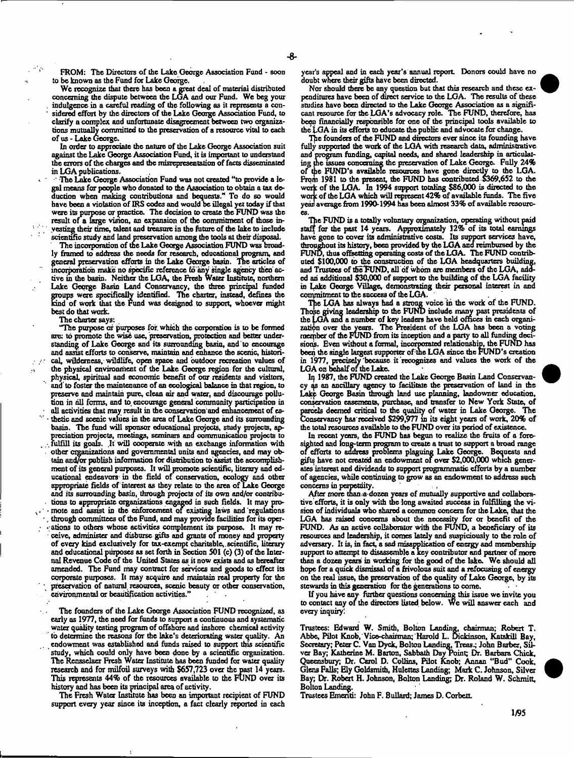FROM: The Directors of the Lake George Association Fund - soon **to be known as the Fond for Lake George.**

We recognize that there has been a great deal of material distributed **concerning the dispute between the LGA and our Fund. We beg your** indulgence in a careful reading of the following as it represents a considered effort by the directors of the Lake George Association Fund, to clarify a complex and unfortunate disagreement between two organizations mutually committed to the preservation of a resource vital to each **o f us - Lake George.**

In order to appreciate the nature of the Lake George Association suit **against the Lake George Association Fund, it is important to understand** the errors of the charges and the misrepresentation of facts disseminated **in LGA publications.**

The Lake George Association Fund was not created "to provide a le**gal means far people who donated to the Association to obtain a tax deduction when making contributions and bequests." To do so would** have been a violation of IRS codes and would be illegal yet today if that **were its purpose or practice. The decision to create the FUND was the** result of a large vision, an expansion of the commitment of those investing their time, talent and treasure in the future of the lake to include **scientific study and land preservation among the tools at their disposal.**

The incorporation of the Lake George Association FUND was broad**ly framed to address the needs for research, education alprogram , and** general preservation efforts in the Lake George basin. The articles of **mcorporation make no specific reference Eoany single agency then' active in the basin. Neither the LGA, the Fresh Water Institute, northern Lake George Basin Land Conservancy, the three principal funded groups were specifically identified. The charter, instead, defines die** kind of work that the Fund was designed to support, whoever might **best do that work.**

**The charter says: .**

a ba

**"The purpose or purposes for which the corporation is to be formed** are: to promote the wise use, preservation, protection and better understanding of Lake George and its surrounding basin, and to encourage **and assist efforts to conserve, maintain and enhance the scenic, histori**cal, wilderness, wildlife, open space and outdoor recreation values of the physical environment of the Lake George region for the cultural, physical, spiritual and economic benefit of our residents and visitors, and to foster the maintenance of an ecological balance in that region, to **preserve and maintain pure, clean air and water, and discourage pollution in aU forms, and to, encourage general community participation in** all activities that may result in the conservation and enhancement of es-<sup>21</sup> thetic and scenic values in the area of Lake George and its surrounding basin. The fund will sponsor educational projects, study projects, ap**preciation projects, meetings, seminars and communication projects to** fulfill its goals. It will cooperate with an exchange information with **other organizations and governmental units and agencies, and may obtain and/or publish information for distribution to assist the accomplish**ment of its general purposes. It will promote scientific, literary and educational endeavors in the field of conservation, ecology and other appropriate fields of interest as they relate to the area of Lake George and its surrounding basin, through projects of its own and/or contribu**tions to appropriate organizations engaged in such fields. It may pro-** • mote and assist in the enforcement of existing laws and regulations , through committees of the Fund, and may provide facilities for its oper**ations to others whose activities complement its purpose. It may re**ceive, administer and disburse gifts and grants of money and property of every kind exclusively for tax-exempt charitable, scientific, literary and educational purposes as set forth in Section 501 (c) (3) of the Inter**nal Revenue C ode o f the United States as it now exists and as hereafter amended. The Fund may contract for services and goods to effect its corporate purposes. It may acquire and maintain real property for the** preservation of natural resources, scenic beauty or other conservation, **environmental or beautification activities."**

The founders of the Lake George Association FUND recognized, as **early as 1977, the need for funds to support a continuous and systematic** water quality testing program of offshore and inshore chemical activity **to determine the reasons for the lake's deteriorating water quality. An endowment was established and funds raised to support this scientific study, which could only have been done by a scientific organization. The Rensselaer Fresh Water Institute has been funded for water quality** research and for multoil surveys with \$657,723 over the past 14 years. This represents 44% of the resources available to the FUND over its history and has been its principal area of activity.

The Fresh Water Institute has been an important recipient of FUND **support every year since its inception, a fact clearly reported in each** **year's appeal and in each year's annual report. Donors could have no doubt where their gifts have been directed.**

**Nor should there be any question but that this research and these ex**penditures have been of direct service to the LGA. The results of these studies have been directed to the Lake George Association as a signifi**cant resource for the LG A's advocacy role. The FUND, therefore, has** been financially responsible for one of the principal tools available to **the LGA in its efforts to educate the public and advocate far change.**

The founders of the FUND and directors ever since its founding have fully supported the work of the LGA with research data, administrative **and program funding, capital needs, and shared leadership in articulat**ing the issues concerning the preservation of Lake George. Fully 24% of the FUND's available resources have gone directly to the LGA. **From 1981 to the present, die FUND has contributed £369,652 to die** work of the LGA. In 1994 support totaling \$86,000 is directed to the<br>work of the LGA which will represent 42% of available funds. The five<br>year average from 1990-1994 has been almost 33% of available resources.<br>es.<br>The EUN of the LGA which will represent 42% of available funds. The five year average from 1990-1994 has been almost 33% of available resourc**es.**

**The FUND is a totally voluntary organization, operating without paid** staff for the past 14 years. Approximately 12% of its total earnings **have gone to cover its administrative costs. Its support services have, throughout its history, been provided by the LGA and reimbursed by the** FUND, thus offsetting operating costs of the LGA. The FUND contributed \$100,000 to the construction of the LGA headquarters building, and Trustees of the FUND, all of whom are members of the LGA, added an additional \$30,000 of support to the building of the LGA facility **in I^ake George Village, demonstrating their personal interest in and** commitment to the success of the LGA.

The LGA has always had a strong voice in the work of the FUND. Those giving leadership to the FUND include many past presidents of the LGA and a number of key leaders have held offices in each organization over the years. The President of the LGA has been a voting member of the FUND from its inception and a party to all funding deci**sions. Even without a formal, incorporated relationship, the FUND has been the single largest supporter o f:tne LGA since the FU N D 's creation** in 1977, precisely because it recognizes and values the work of the **LGA on behalf of the Lake.** 

In 1987, the FUND created the Lake George Basin Land Conservancy as an ancillary agency to facilitate the preservation of land in the **Lake George Basin through land use planning, landowner education,** conservation easements, purchase, and transfer to New York State, of parcels deemed critical to the quality of water in Lake George. The Conservancy has received \$299,977 in its eight years of work, 20% of the total resources available to the FUND over its period of existence.

In recent years, the FUND has begun to realize the fruits of a fore**sighted and long-term program to create a trust to support a broad range** of efforts to address problems plaguing Lake George. Bequests and gifts have not created an endowment of over \$2,000,000 which gener**ates interest and dividends to support programmatic efforts by a number** of agencies, while continuing to grow as an endowment to address such **concerns in perpetuity.**

After more than a dozen years of mutually supportive and collaborative efforts, it is only with the long awaited success in fulfilling the vision of individuals who shared a common concern for the Lake, that the LGA has raised concerns about the necessity for or benefit of the FUND. As an active collaborator with the FUND, a beneficiary of its resources and leadership, it comes lately and suspiciously to the role of adversary. It is, in fact, a sad misapplication of energy and membership support to attempt to disassemble a key contributor and partner of more than a dozen years in working for the good of the lake." We should all hope for a quick dismissal of a frivolous suit and a refocusing of energy on the real issue, the preservation of the quality of Lake George, by its stewards in this generation for the generations to come.

If you have any further questions concerning this issue we invite you to contact any of the directors listed below. We will answer each and **every inquiry:**

**Trustees: Edward W. Smith, Bolton Landing, chairman; Robert T. Abbe, Pilot Knob, \* Vice-chairman;' Harold L. Dickinson, Kntskill Bay, Secretary; Peter C. Van Dyck, Bolton Landing, Treag.; John Barber, Silver Bay; Katherine M. Barton, Sabbath Day Point; Dr. Barbara Chick,** Queensbury; Dr. Carol D. Collins, Pilot Knob; Annan "Bud" Cook, **Glens Falls; Ely Goldsmith, Hulettes Landing; Mark C. Johnson, Silver Bay, Dr. Robert H. Johnson, Bolton Landing; Dr. Roland W . Schmitt, Bolton Landing.**

**Trustees Emeriti: John F. Bullard; James D. Corbett**

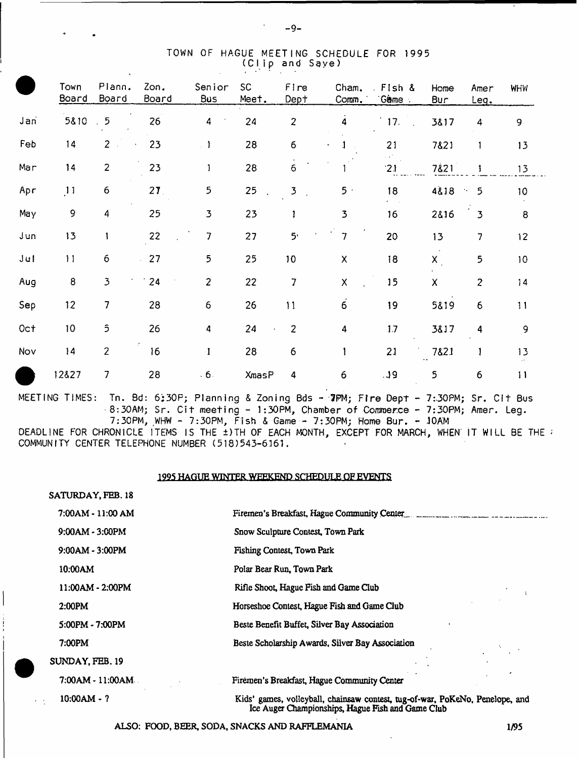|     | rollb and bayer |                  |               |                |                    |                          |                         |                  |                                             |                |            |
|-----|-----------------|------------------|---------------|----------------|--------------------|--------------------------|-------------------------|------------------|---------------------------------------------|----------------|------------|
|     | Town<br>Board   | Plann.<br>Board  | Zon.<br>Board | Senior<br>Bus  | <b>SC</b><br>Meet. | Fire<br>Dept             | Cham.<br>Comm.          | . Fish &<br>Game | Home<br><b>Bur</b>                          | Amer<br>Leg.   | <b>WHW</b> |
| Jan | 5&10            | 5                | 26            | 4              | 24                 | $\overline{2}$           | 4                       | 17.              | 3817                                        | 4              | 9          |
| Feb | 14              | $\overline{2}$   | 23            | $\blacksquare$ | 28                 | $\epsilon$               |                         | 21               | 7821                                        | 1              | 13         |
| Mar | 14              | $\overline{2}$   | 23            |                | 28                 | 6                        |                         | 21               | 7821                                        | 1              | 13         |
| Apr | 11              | 6                | 27.           | 5              | 25                 | 3                        | $5\,$                   | 18               | 4818                                        | 5<br>٠.        | 10         |
| May | 9               | 4                | 25            | 3              | 23                 |                          | 3                       | 16               | 2&16                                        | 3              | $\bf8$     |
| Jun | 13              | $\mathbf{1}$     | 22            | 7              | 27                 | 5'                       | $\overline{7}$          | 20               | 13                                          | 7              | $12 \,$    |
| Jul | 11              | $\boldsymbol{6}$ | 27            | 5              | 25                 | 10 <sub>1</sub>          | $\pmb{\mathsf{X}}$      | 18               | $\mathsf{X}^{\scriptscriptstyle\mathsf{c}}$ | 5              | 10         |
| Aug | 8               | $\overline{3}$   | 24            | $\overline{2}$ | 22                 | $\overline{\mathcal{L}}$ | $\pmb{\mathsf{X}}$      | 15               | X                                           | $\overline{c}$ | 14         |
| Sep | 12              | 7                | 28            | 6              | 26                 | 11                       | $\ddot{6}$              | 19               | 5819                                        | 6              | 11         |
| 0ct | 10 <sub>1</sub> | 5                | 26            | 4              | 24                 | 2                        | $\overline{\mathbf{4}}$ | 17               | 3817                                        | 4              | 9          |
| Nov | 14              | $\overline{2}$   | 16            | ı              | 28                 | 6                        | 1                       | 21               | 7821                                        | 1              | 13         |
|     | 12&27           | 7                | 28            | .6.            | <b>XmasP</b>       | 4                        | 6                       | .19              | 5                                           | 6              | 11         |

TOWN OF HAGUE MEETING SCHEDULE FOR 1995 (Clip and Saye)

 $-9-$ 

MEETING TIMES: Tn. Bd: 6:30P; Planning & Zoning Bds - 7PM; Fire Dept - 7:30PM; Sr. Cit Bus 8:30AM; Sr. Cit meeting - 1:30PM, Chamber of Commerce - 7:30PM; Amer. Leg. 7:30 PM, WHW - 7:30 PM, Fish & Game - 7:30 PM; Home Bur. - 10AM

DEADLINE FOR CHRONICLE ITEMS IS THE ±)TH OF EACH MONTH, EXCEPT FOR MARCH, WHEN' IT WILL BE THE COMMUNITY CENTER TELEPHONE NUMBER (518) 543-6161.

# 1995 HAGUE WINTER WEEKEND SCHEDULE QF EVENTS

| SATURDAY, FEB. 18  |                                                                                                                                   |
|--------------------|-----------------------------------------------------------------------------------------------------------------------------------|
| 7:00AM - 11:00 AM  | Firemen's Breakfast, Hague Community Center                                                                                       |
| $9:00AM - 3:00PM$  | Snow Sculpture Contest, Town Park                                                                                                 |
| $9:00AM - 3:00PM$  | Fishing Contest, Town Park                                                                                                        |
| 10.00AM            | Polar Bear Run, Town Park                                                                                                         |
| 11.00AM - 2:00PM   | Rifle Shoot, Hague Pish and Game Club                                                                                             |
| 2:00PM             | Horseshoe Contest, Hague Fish and Game Club                                                                                       |
| 5:00PM - 7:00PM    | Beste Benefit Buffet, Silver Bay Association                                                                                      |
| 7:00PM             | Beste Scholarship Awards, Silver Bay Association                                                                                  |
| SUNDAY, FEB. 19    |                                                                                                                                   |
| 7:00AM - 11:00AM - | $\bullet$<br>Firemen's Breakfast, Hague Community Center                                                                          |
| $10:00AM - ?$      | Kids' games, volleyball, chainsaw contest, tug-of-war, PoKeNo, Penelope, and<br>Ice Auger Championships, Hague Fish and Game Club |